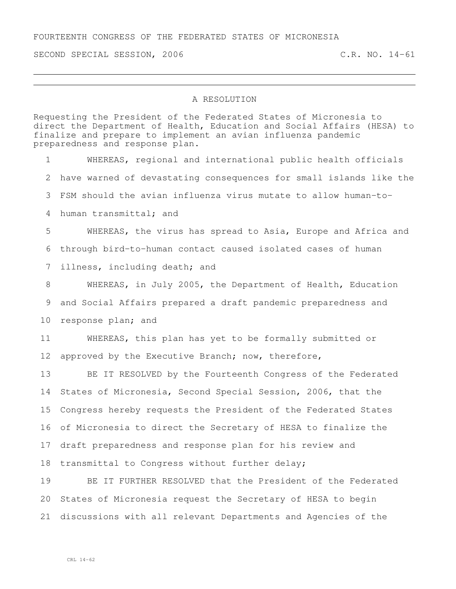## FOURTEENTH CONGRESS OF THE FEDERATED STATES OF MICRONESIA

SECOND SPECIAL SESSION, 2006 C.R. NO. 14-61

## A RESOLUTION

Requesting the President of the Federated States of Micronesia to direct the Department of Health, Education and Social Affairs (HESA) to finalize and prepare to implement an avian influenza pandemic preparedness and response plan.

 WHEREAS, regional and international public health officials have warned of devastating consequences for small islands like the FSM should the avian influenza virus mutate to allow human-to- human transmittal; and WHEREAS, the virus has spread to Asia, Europe and Africa and through bird-to-human contact caused isolated cases of human illness, including death; and WHEREAS, in July 2005, the Department of Health, Education and Social Affairs prepared a draft pandemic preparedness and response plan; and WHEREAS, this plan has yet to be formally submitted or approved by the Executive Branch; now, therefore, BE IT RESOLVED by the Fourteenth Congress of the Federated States of Micronesia, Second Special Session, 2006, that the Congress hereby requests the President of the Federated States of Micronesia to direct the Secretary of HESA to finalize the draft preparedness and response plan for his review and transmittal to Congress without further delay; BE IT FURTHER RESOLVED that the President of the Federated States of Micronesia request the Secretary of HESA to begin

discussions with all relevant Departments and Agencies of the